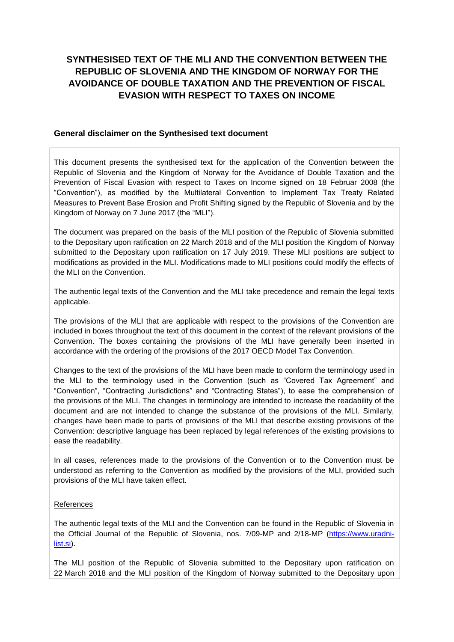# **SYNTHESISED TEXT OF THE MLI AND THE CONVENTION BETWEEN THE REPUBLIC OF SLOVENIA AND THE KINGDOM OF NORWAY FOR THE AVOIDANCE OF DOUBLE TAXATION AND THE PREVENTION OF FISCAL EVASION WITH RESPECT TO TAXES ON INCOME**

#### **General disclaimer on the Synthesised text document**

This document presents the synthesised text for the application of the Convention between the Republic of Slovenia and the Kingdom of Norway for the Avoidance of Double Taxation and the Prevention of Fiscal Evasion with respect to Taxes on Income signed on 18 Februar 2008 (the "Convention"), as modified by the Multilateral Convention to Implement Tax Treaty Related Measures to Prevent Base Erosion and Profit Shifting signed by the Republic of Slovenia and by the Kingdom of Norway on 7 June 2017 (the "MLI").

The document was prepared on the basis of the MLI position of the Republic of Slovenia submitted to the Depositary upon ratification on 22 March 2018 and of the MLI position the Kingdom of Norway submitted to the Depositary upon ratification on 17 July 2019. These MLI positions are subject to modifications as provided in the MLI. Modifications made to MLI positions could modify the effects of the MLI on the Convention.

The authentic legal texts of the Convention and the MLI take precedence and remain the legal texts applicable.

The provisions of the MLI that are applicable with respect to the provisions of the Convention are included in boxes throughout the text of this document in the context of the relevant provisions of the Convention. The boxes containing the provisions of the MLI have generally been inserted in accordance with the ordering of the provisions of the 2017 OECD Model Tax Convention.

Changes to the text of the provisions of the MLI have been made to conform the terminology used in the MLI to the terminology used in the Convention (such as "Covered Tax Agreement" and "Convention", "Contracting Jurisdictions" and "Contracting States"), to ease the comprehension of the provisions of the MLI. The changes in terminology are intended to increase the readability of the document and are not intended to change the substance of the provisions of the MLI. Similarly, changes have been made to parts of provisions of the MLI that describe existing provisions of the Convention: descriptive language has been replaced by legal references of the existing provisions to ease the readability.

In all cases, references made to the provisions of the Convention or to the Convention must be understood as referring to the Convention as modified by the provisions of the MLI, provided such provisions of the MLI have taken effect.

#### References

The authentic legal texts of the MLI and the Convention can be found in the Republic of Slovenia in the Official Journal of the Republic of Slovenia, nos. 7/09-MP and 2/18-MP [\(https://www.uradni](https://www.uradni-list.si/)[list.si\)](https://www.uradni-list.si/).

The MLI position of the Republic of Slovenia submitted to the Depositary upon ratification on 22 March 2018 and the MLI position of the Kingdom of Norway submitted to the Depositary upon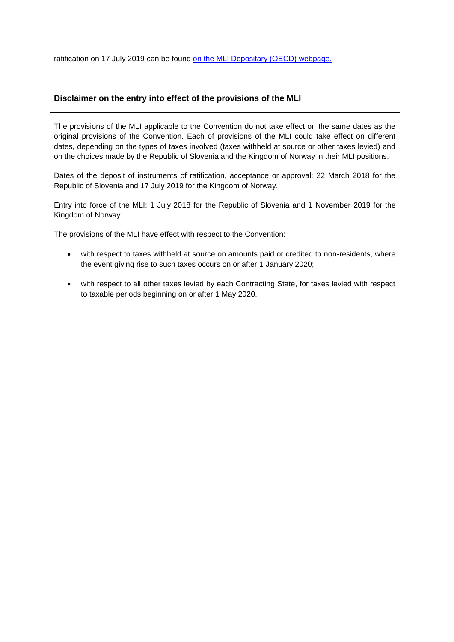ratification on 17 July 2019 can be found [on the MLI Depositary \(OECD\) webpage.](http://www.oecd.org/tax/treaties/beps-mli-signatories-and-parties.pdf)

#### **Disclaimer on the entry into effect of the provisions of the MLI**

The provisions of the MLI applicable to the Convention do not take effect on the same dates as the original provisions of the Convention. Each of provisions of the MLI could take effect on different dates, depending on the types of taxes involved (taxes withheld at source or other taxes levied) and on the choices made by the Republic of Slovenia and the Kingdom of Norway in their MLI positions.

Dates of the deposit of instruments of ratification, acceptance or approval: 22 March 2018 for the Republic of Slovenia and 17 July 2019 for the Kingdom of Norway.

Entry into force of the MLI: 1 July 2018 for the Republic of Slovenia and 1 November 2019 for the Kingdom of Norway.

The provisions of the MLI have effect with respect to the Convention:

- with respect to taxes withheld at source on amounts paid or credited to non-residents, where the event giving rise to such taxes occurs on or after 1 January 2020;
- with respect to all other taxes levied by each Contracting State, for taxes levied with respect to taxable periods beginning on or after 1 May 2020.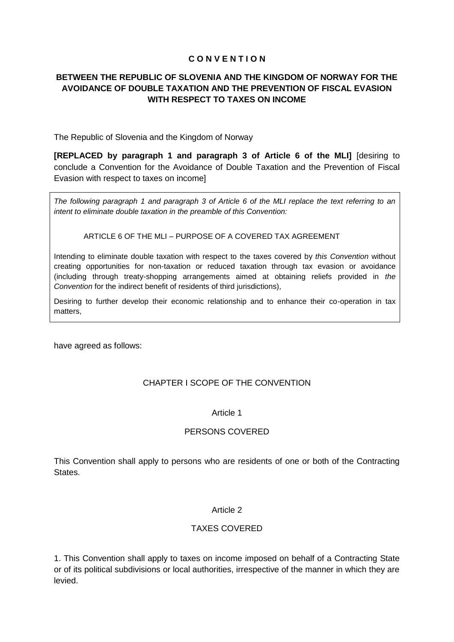# **C O N V E N T I O N**

# **BETWEEN THE REPUBLIC OF SLOVENIA AND THE KINGDOM OF NORWAY FOR THE AVOIDANCE OF DOUBLE TAXATION AND THE PREVENTION OF FISCAL EVASION WITH RESPECT TO TAXES ON INCOME**

The Republic of Slovenia and the Kingdom of Norway

**[REPLACED by paragraph 1 and paragraph 3 of Article 6 of the MLI]** [desiring to conclude a Convention for the Avoidance of Double Taxation and the Prevention of Fiscal Evasion with respect to taxes on income]

*The following paragraph 1 and paragraph 3 of Article 6 of the MLI replace the text referring to an intent to eliminate double taxation in the preamble of this Convention:*

ARTICLE 6 OF THE MLI – PURPOSE OF A COVERED TAX AGREEMENT

Intending to eliminate double taxation with respect to the taxes covered by *this Convention* without creating opportunities for non-taxation or reduced taxation through tax evasion or avoidance (including through treaty-shopping arrangements aimed at obtaining reliefs provided in *the Convention* for the indirect benefit of residents of third jurisdictions),

Desiring to further develop their economic relationship and to enhance their co-operation in tax matters,

have agreed as follows:

# CHAPTER I SCOPE OF THE CONVENTION

#### Article 1

### PERSONS COVERED

This Convention shall apply to persons who are residents of one or both of the Contracting States.

#### Article 2

### TAXES COVERED

1. This Convention shall apply to taxes on income imposed on behalf of a Contracting State or of its political subdivisions or local authorities, irrespective of the manner in which they are levied.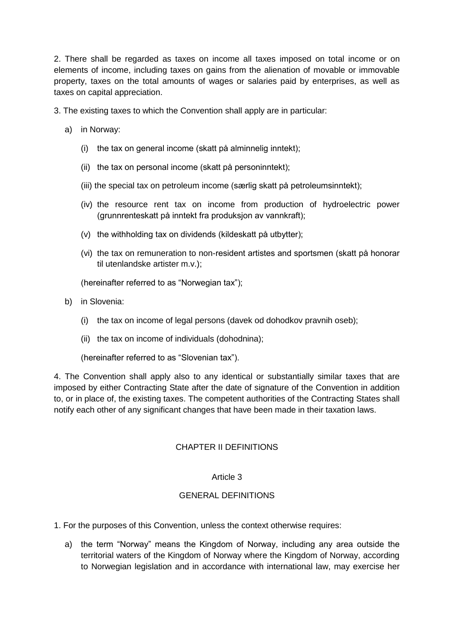2. There shall be regarded as taxes on income all taxes imposed on total income or on elements of income, including taxes on gains from the alienation of movable or immovable property, taxes on the total amounts of wages or salaries paid by enterprises, as well as taxes on capital appreciation.

3. The existing taxes to which the Convention shall apply are in particular:

- a) in Norway:
	- (i) the tax on general income (skatt på alminnelig inntekt);
	- (ii) the tax on personal income (skatt på personinntekt);
	- (iii) the special tax on petroleum income (særlig skatt på petroleumsinntekt);
	- (iv) the resource rent tax on income from production of hydroelectric power (grunnrenteskatt på inntekt fra produksjon av vannkraft);
	- (v) the withholding tax on dividends (kildeskatt på utbytter);
	- (vi) the tax on remuneration to non-resident artistes and sportsmen (skatt på honorar til utenlandske artister m.v.);

(hereinafter referred to as "Norwegian tax");

- b) in Slovenia:
	- (i) the tax on income of legal persons (davek od dohodkov pravnih oseb);
	- (ii) the tax on income of individuals (dohodnina);

(hereinafter referred to as "Slovenian tax").

4. The Convention shall apply also to any identical or substantially similar taxes that are imposed by either Contracting State after the date of signature of the Convention in addition to, or in place of, the existing taxes. The competent authorities of the Contracting States shall notify each other of any significant changes that have been made in their taxation laws.

# CHAPTER II DEFINITIONS

### Article 3

### GENERAL DEFINITIONS

- 1. For the purposes of this Convention, unless the context otherwise requires:
	- a) the term "Norway" means the Kingdom of Norway, including any area outside the territorial waters of the Kingdom of Norway where the Kingdom of Norway, according to Norwegian legislation and in accordance with international law, may exercise her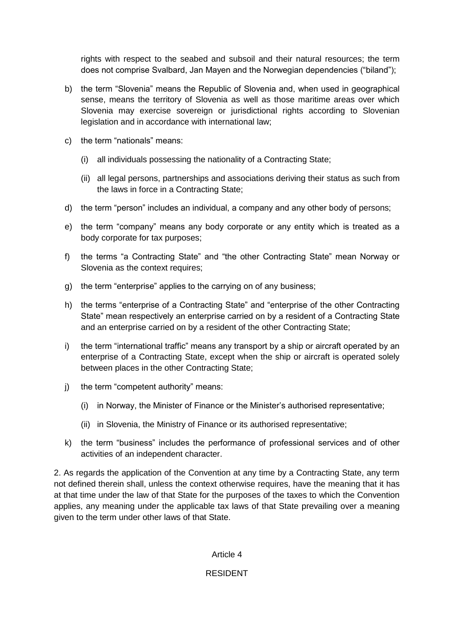rights with respect to the seabed and subsoil and their natural resources; the term does not comprise Svalbard, Jan Mayen and the Norwegian dependencies ("biland");

- b) the term "Slovenia" means the Republic of Slovenia and, when used in geographical sense, means the territory of Slovenia as well as those maritime areas over which Slovenia may exercise sovereign or jurisdictional rights according to Slovenian legislation and in accordance with international law;
- c) the term "nationals" means:
	- (i) all individuals possessing the nationality of a Contracting State;
	- (ii) all legal persons, partnerships and associations deriving their status as such from the laws in force in a Contracting State;
- d) the term "person" includes an individual, a company and any other body of persons;
- e) the term "company" means any body corporate or any entity which is treated as a body corporate for tax purposes;
- f) the terms "a Contracting State" and "the other Contracting State" mean Norway or Slovenia as the context requires;
- g) the term "enterprise" applies to the carrying on of any business;
- h) the terms "enterprise of a Contracting State" and "enterprise of the other Contracting State" mean respectively an enterprise carried on by a resident of a Contracting State and an enterprise carried on by a resident of the other Contracting State;
- i) the term "international traffic" means any transport by a ship or aircraft operated by an enterprise of a Contracting State, except when the ship or aircraft is operated solely between places in the other Contracting State;
- j) the term "competent authority" means:
	- (i) in Norway, the Minister of Finance or the Minister's authorised representative;
	- (ii) in Slovenia, the Ministry of Finance or its authorised representative;
- k) the term "business" includes the performance of professional services and of other activities of an independent character.

2. As regards the application of the Convention at any time by a Contracting State, any term not defined therein shall, unless the context otherwise requires, have the meaning that it has at that time under the law of that State for the purposes of the taxes to which the Convention applies, any meaning under the applicable tax laws of that State prevailing over a meaning given to the term under other laws of that State.

Article 4

RESIDENT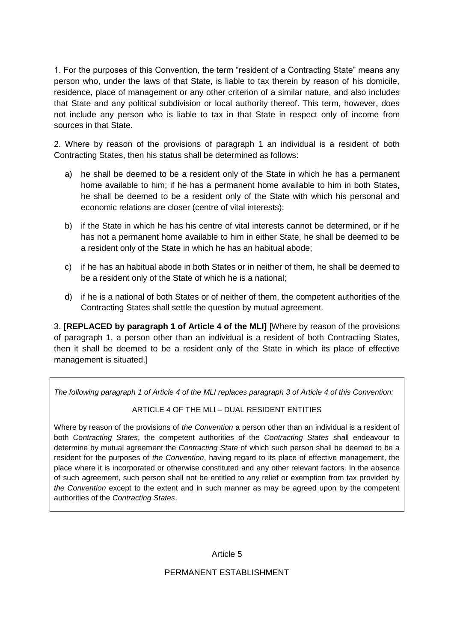1. For the purposes of this Convention, the term "resident of a Contracting State" means any person who, under the laws of that State, is liable to tax therein by reason of his domicile, residence, place of management or any other criterion of a similar nature, and also includes that State and any political subdivision or local authority thereof. This term, however, does not include any person who is liable to tax in that State in respect only of income from sources in that State.

2. Where by reason of the provisions of paragraph 1 an individual is a resident of both Contracting States, then his status shall be determined as follows:

- a) he shall be deemed to be a resident only of the State in which he has a permanent home available to him; if he has a permanent home available to him in both States, he shall be deemed to be a resident only of the State with which his personal and economic relations are closer (centre of vital interests);
- b) if the State in which he has his centre of vital interests cannot be determined, or if he has not a permanent home available to him in either State, he shall be deemed to be a resident only of the State in which he has an habitual abode;
- c) if he has an habitual abode in both States or in neither of them, he shall be deemed to be a resident only of the State of which he is a national;
- d) if he is a national of both States or of neither of them, the competent authorities of the Contracting States shall settle the question by mutual agreement.

3. **[REPLACED by paragraph 1 of Article 4 of the MLI]** [Where by reason of the provisions of paragraph 1, a person other than an individual is a resident of both Contracting States, then it shall be deemed to be a resident only of the State in which its place of effective management is situated.]

*The following paragraph 1 of Article 4 of the MLI replaces paragraph 3 of Article 4 of this Convention:*

### ARTICLE 4 OF THE MLL – DUAL RESIDENT ENTITIES

Where by reason of the provisions of *the Convention* a person other than an individual is a resident of both *Contracting States*, the competent authorities of the *Contracting States* shall endeavour to determine by mutual agreement the *Contracting State* of which such person shall be deemed to be a resident for the purposes of *the Convention*, having regard to its place of effective management, the place where it is incorporated or otherwise constituted and any other relevant factors. In the absence of such agreement, such person shall not be entitled to any relief or exemption from tax provided by *the Convention* except to the extent and in such manner as may be agreed upon by the competent authorities of the *Contracting States*.

Article 5

PERMANENT ESTABLISHMENT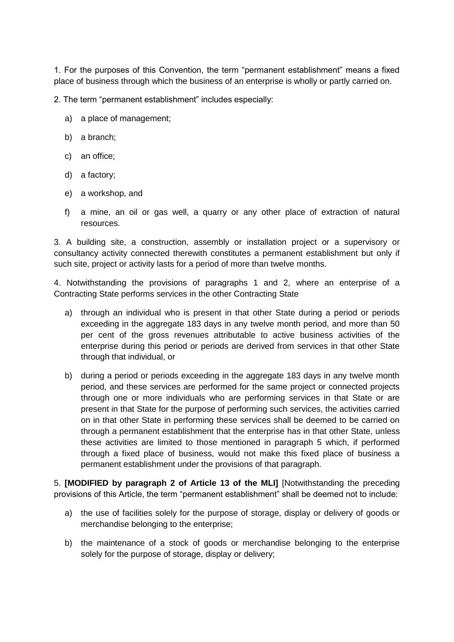1. For the purposes of this Convention, the term "permanent establishment" means a fixed place of business through which the business of an enterprise is wholly or partly carried on.

2. The term "permanent establishment" includes especially:

- a) a place of management;
- b) a branch;
- c) an office;
- d) a factory;
- e) a workshop, and
- f) a mine, an oil or gas well, a quarry or any other place of extraction of natural resources.

3. A building site, a construction, assembly or installation project or a supervisory or consultancy activity connected therewith constitutes a permanent establishment but only if such site, project or activity lasts for a period of more than twelve months.

4. Notwithstanding the provisions of paragraphs 1 and 2, where an enterprise of a Contracting State performs services in the other Contracting State

- a) through an individual who is present in that other State during a period or periods exceeding in the aggregate 183 days in any twelve month period, and more than 50 per cent of the gross revenues attributable to active business activities of the enterprise during this period or periods are derived from services in that other State through that individual, or
- b) during a period or periods exceeding in the aggregate 183 days in any twelve month period, and these services are performed for the same project or connected projects through one or more individuals who are performing services in that State or are present in that State for the purpose of performing such services, the activities carried on in that other State in performing these services shall be deemed to be carried on through a permanent establishment that the enterprise has in that other State, unless these activities are limited to those mentioned in paragraph 5 which, if performed through a fixed place of business, would not make this fixed place of business a permanent establishment under the provisions of that paragraph.

5. **[MODIFIED by paragraph 2 of Article 13 of the MLI]** [Notwithstanding the preceding provisions of this Article, the term "permanent establishment" shall be deemed not to include:

- a) the use of facilities solely for the purpose of storage, display or delivery of goods or merchandise belonging to the enterprise;
- b) the maintenance of a stock of goods or merchandise belonging to the enterprise solely for the purpose of storage, display or delivery;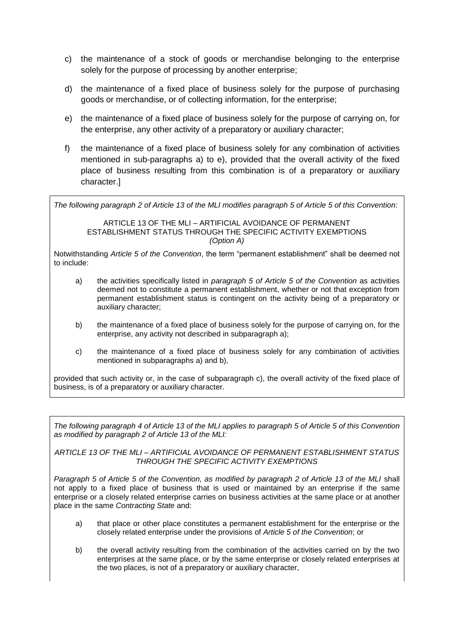- c) the maintenance of a stock of goods or merchandise belonging to the enterprise solely for the purpose of processing by another enterprise;
- d) the maintenance of a fixed place of business solely for the purpose of purchasing goods or merchandise, or of collecting information, for the enterprise;
- e) the maintenance of a fixed place of business solely for the purpose of carrying on, for the enterprise, any other activity of a preparatory or auxiliary character;
- f) the maintenance of a fixed place of business solely for any combination of activities mentioned in sub-paragraphs a) to e), provided that the overall activity of the fixed place of business resulting from this combination is of a preparatory or auxiliary character.]

*The following paragraph 2 of Article 13 of the MLI modifies paragraph 5 of Article 5 of this Convention:* ARTICLE 13 OF THE MLI – ARTIFICIAL AVOIDANCE OF PERMANENT ESTABLISHMENT STATUS THROUGH THE SPECIFIC ACTIVITY EXEMPTIONS *(Option A)* Notwithstanding *Article 5 of the Convention*, the term "permanent establishment" shall be deemed not to include:

- a) the activities specifically listed in *paragraph 5 of Article 5 of the Convention* as activities deemed not to constitute a permanent establishment, whether or not that exception from permanent establishment status is contingent on the activity being of a preparatory or auxiliary character;
- b) the maintenance of a fixed place of business solely for the purpose of carrying on, for the enterprise, any activity not described in subparagraph a);
- c) the maintenance of a fixed place of business solely for any combination of activities mentioned in subparagraphs a) and b),

provided that such activity or, in the case of subparagraph c), the overall activity of the fixed place of business, is of a preparatory or auxiliary character.

*The following paragraph 4 of Article 13 of the MLI applies to paragraph 5 of Article 5 of this Convention as modified by paragraph 2 of Article 13 of the MLI:*

*ARTICLE 13 OF THE MLI – ARTIFICIAL AVOIDANCE OF PERMANENT ESTABLISHMENT STATUS THROUGH THE SPECIFIC ACTIVITY EXEMPTIONS*

*Paragraph 5 of Article 5 of the Convention, as modified by paragraph 2 of Article 13 of the MLI* shall not apply to a fixed place of business that is used or maintained by an enterprise if the same enterprise or a closely related enterprise carries on business activities at the same place or at another place in the same *Contracting State* and:

- a) that place or other place constitutes a permanent establishment for the enterprise or the closely related enterprise under the provisions of *Article 5 of the Convention*; or
- b) the overall activity resulting from the combination of the activities carried on by the two enterprises at the same place, or by the same enterprise or closely related enterprises at the two places, is not of a preparatory or auxiliary character,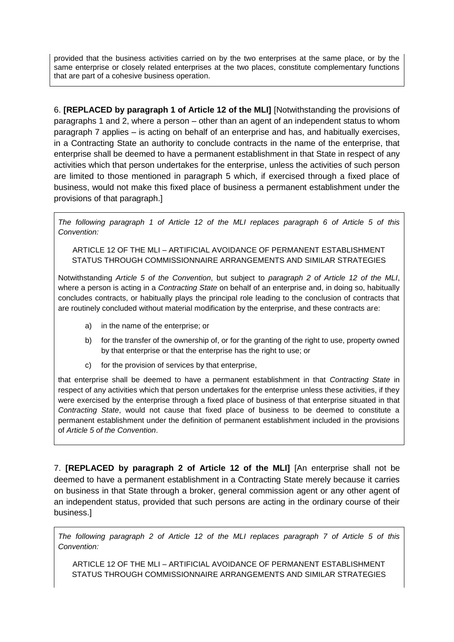provided that the business activities carried on by the two enterprises at the same place, or by the same enterprise or closely related enterprises at the two places, constitute complementary functions that are part of a cohesive business operation.

6. **[REPLACED by paragraph 1 of Article 12 of the MLI]** [Notwithstanding the provisions of paragraphs 1 and 2, where a person – other than an agent of an independent status to whom paragraph 7 applies – is acting on behalf of an enterprise and has, and habitually exercises, in a Contracting State an authority to conclude contracts in the name of the enterprise, that enterprise shall be deemed to have a permanent establishment in that State in respect of any activities which that person undertakes for the enterprise, unless the activities of such person are limited to those mentioned in paragraph 5 which, if exercised through a fixed place of business, would not make this fixed place of business a permanent establishment under the provisions of that paragraph.]

*The following paragraph 1 of Article 12 of the MLI replaces paragraph 6 of Article 5 of this Convention:*

ARTICLE 12 OF THE MLI – ARTIFICIAL AVOIDANCE OF PERMANENT ESTABLISHMENT STATUS THROUGH COMMISSIONNAIRE ARRANGEMENTS AND SIMILAR STRATEGIES

Notwithstanding *Article 5 of the Convention*, but subject to *paragraph 2 of Article 12 of the MLI*, where a person is acting in a *Contracting State* on behalf of an enterprise and, in doing so, habitually concludes contracts, or habitually plays the principal role leading to the conclusion of contracts that are routinely concluded without material modification by the enterprise, and these contracts are:

- a) in the name of the enterprise; or
- b) for the transfer of the ownership of, or for the granting of the right to use, property owned by that enterprise or that the enterprise has the right to use; or
- c) for the provision of services by that enterprise,

that enterprise shall be deemed to have a permanent establishment in that *Contracting State* in respect of any activities which that person undertakes for the enterprise unless these activities, if they were exercised by the enterprise through a fixed place of business of that enterprise situated in that *Contracting State*, would not cause that fixed place of business to be deemed to constitute a permanent establishment under the definition of permanent establishment included in the provisions of *Article 5 of the Convention*.

7. **[REPLACED by paragraph 2 of Article 12 of the MLI]** [An enterprise shall not be deemed to have a permanent establishment in a Contracting State merely because it carries on business in that State through a broker, general commission agent or any other agent of an independent status, provided that such persons are acting in the ordinary course of their business.]

*The following paragraph 2 of Article 12 of the MLI replaces paragraph 7 of Article 5 of this Convention:*

ARTICLE 12 OF THE MLI – ARTIFICIAL AVOIDANCE OF PERMANENT ESTABLISHMENT STATUS THROUGH COMMISSIONNAIRE ARRANGEMENTS AND SIMILAR STRATEGIES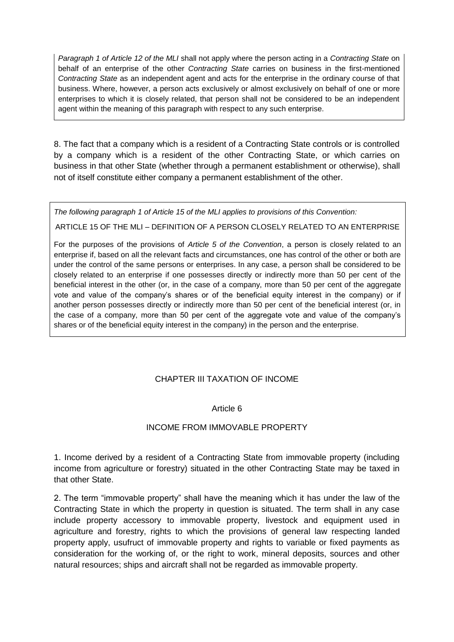*Paragraph 1 of Article 12 of the MLI* shall not apply where the person acting in a *Contracting State* on behalf of an enterprise of the other *Contracting State* carries on business in the first-mentioned *Contracting State* as an independent agent and acts for the enterprise in the ordinary course of that business. Where, however, a person acts exclusively or almost exclusively on behalf of one or more enterprises to which it is closely related, that person shall not be considered to be an independent agent within the meaning of this paragraph with respect to any such enterprise.

8. The fact that a company which is a resident of a Contracting State controls or is controlled by a company which is a resident of the other Contracting State, or which carries on business in that other State (whether through a permanent establishment or otherwise), shall not of itself constitute either company a permanent establishment of the other.

*The following paragraph 1 of Article 15 of the MLI applies to provisions of this Convention:*

ARTICLE 15 OF THE MLI – DEFINITION OF A PERSON CLOSELY RELATED TO AN ENTERPRISE

For the purposes of the provisions of *Article 5 of the Convention*, a person is closely related to an enterprise if, based on all the relevant facts and circumstances, one has control of the other or both are under the control of the same persons or enterprises. In any case, a person shall be considered to be closely related to an enterprise if one possesses directly or indirectly more than 50 per cent of the beneficial interest in the other (or, in the case of a company, more than 50 per cent of the aggregate vote and value of the company's shares or of the beneficial equity interest in the company) or if another person possesses directly or indirectly more than 50 per cent of the beneficial interest (or, in the case of a company, more than 50 per cent of the aggregate vote and value of the company's shares or of the beneficial equity interest in the company) in the person and the enterprise.

# CHAPTER III TAXATION OF INCOME

### Article 6

# INCOME FROM IMMOVABLE PROPERTY

1. Income derived by a resident of a Contracting State from immovable property (including income from agriculture or forestry) situated in the other Contracting State may be taxed in that other State.

2. The term "immovable property" shall have the meaning which it has under the law of the Contracting State in which the property in question is situated. The term shall in any case include property accessory to immovable property, livestock and equipment used in agriculture and forestry, rights to which the provisions of general law respecting landed property apply, usufruct of immovable property and rights to variable or fixed payments as consideration for the working of, or the right to work, mineral deposits, sources and other natural resources; ships and aircraft shall not be regarded as immovable property.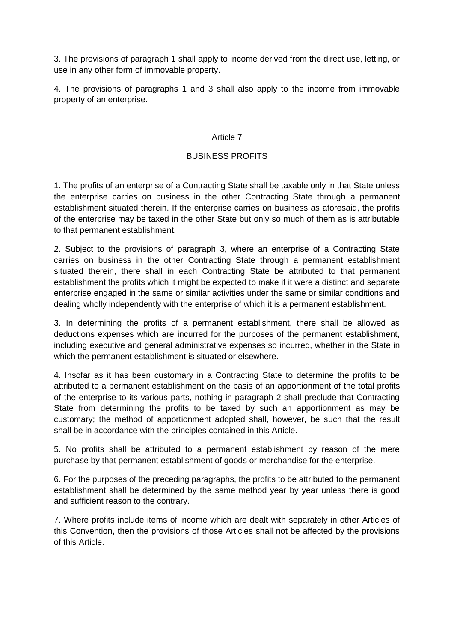3. The provisions of paragraph 1 shall apply to income derived from the direct use, letting, or use in any other form of immovable property.

4. The provisions of paragraphs 1 and 3 shall also apply to the income from immovable property of an enterprise.

### Article 7

# BUSINESS PROFITS

1. The profits of an enterprise of a Contracting State shall be taxable only in that State unless the enterprise carries on business in the other Contracting State through a permanent establishment situated therein. If the enterprise carries on business as aforesaid, the profits of the enterprise may be taxed in the other State but only so much of them as is attributable to that permanent establishment.

2. Subject to the provisions of paragraph 3, where an enterprise of a Contracting State carries on business in the other Contracting State through a permanent establishment situated therein, there shall in each Contracting State be attributed to that permanent establishment the profits which it might be expected to make if it were a distinct and separate enterprise engaged in the same or similar activities under the same or similar conditions and dealing wholly independently with the enterprise of which it is a permanent establishment.

3. In determining the profits of a permanent establishment, there shall be allowed as deductions expenses which are incurred for the purposes of the permanent establishment, including executive and general administrative expenses so incurred, whether in the State in which the permanent establishment is situated or elsewhere.

4. Insofar as it has been customary in a Contracting State to determine the profits to be attributed to a permanent establishment on the basis of an apportionment of the total profits of the enterprise to its various parts, nothing in paragraph 2 shall preclude that Contracting State from determining the profits to be taxed by such an apportionment as may be customary; the method of apportionment adopted shall, however, be such that the result shall be in accordance with the principles contained in this Article.

5. No profits shall be attributed to a permanent establishment by reason of the mere purchase by that permanent establishment of goods or merchandise for the enterprise.

6. For the purposes of the preceding paragraphs, the profits to be attributed to the permanent establishment shall be determined by the same method year by year unless there is good and sufficient reason to the contrary.

7. Where profits include items of income which are dealt with separately in other Articles of this Convention, then the provisions of those Articles shall not be affected by the provisions of this Article.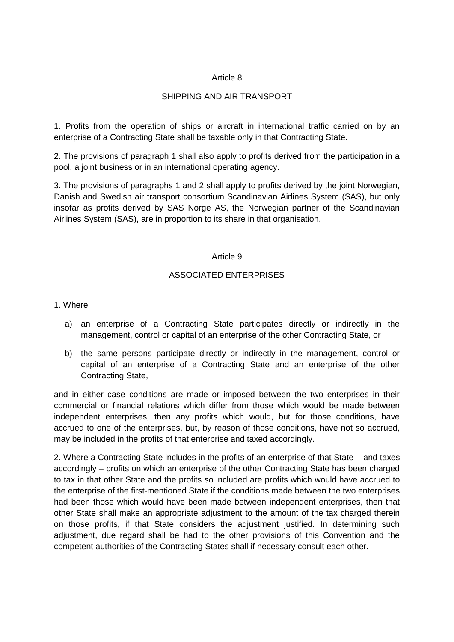#### Article 8

### SHIPPING AND AIR TRANSPORT

1. Profits from the operation of ships or aircraft in international traffic carried on by an enterprise of a Contracting State shall be taxable only in that Contracting State.

2. The provisions of paragraph 1 shall also apply to profits derived from the participation in a pool, a joint business or in an international operating agency.

3. The provisions of paragraphs 1 and 2 shall apply to profits derived by the joint Norwegian, Danish and Swedish air transport consortium Scandinavian Airlines System (SAS), but only insofar as profits derived by SAS Norge AS, the Norwegian partner of the Scandinavian Airlines System (SAS), are in proportion to its share in that organisation.

### Article 9

## ASSOCIATED ENTERPRISES

#### 1. Where

- a) an enterprise of a Contracting State participates directly or indirectly in the management, control or capital of an enterprise of the other Contracting State, or
- b) the same persons participate directly or indirectly in the management, control or capital of an enterprise of a Contracting State and an enterprise of the other Contracting State,

and in either case conditions are made or imposed between the two enterprises in their commercial or financial relations which differ from those which would be made between independent enterprises, then any profits which would, but for those conditions, have accrued to one of the enterprises, but, by reason of those conditions, have not so accrued, may be included in the profits of that enterprise and taxed accordingly.

2. Where a Contracting State includes in the profits of an enterprise of that State – and taxes accordingly – profits on which an enterprise of the other Contracting State has been charged to tax in that other State and the profits so included are profits which would have accrued to the enterprise of the first-mentioned State if the conditions made between the two enterprises had been those which would have been made between independent enterprises, then that other State shall make an appropriate adjustment to the amount of the tax charged therein on those profits, if that State considers the adjustment justified. In determining such adjustment, due regard shall be had to the other provisions of this Convention and the competent authorities of the Contracting States shall if necessary consult each other.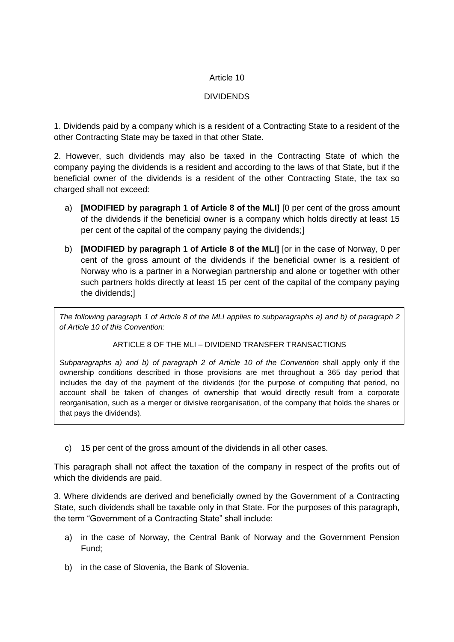### Article 10

## DIVIDENDS

1. Dividends paid by a company which is a resident of a Contracting State to a resident of the other Contracting State may be taxed in that other State.

2. However, such dividends may also be taxed in the Contracting State of which the company paying the dividends is a resident and according to the laws of that State, but if the beneficial owner of the dividends is a resident of the other Contracting State, the tax so charged shall not exceed:

- a) **[MODIFIED by paragraph 1 of Article 8 of the MLI]** [0 per cent of the gross amount of the dividends if the beneficial owner is a company which holds directly at least 15 per cent of the capital of the company paying the dividends;]
- b) **[MODIFIED by paragraph 1 of Article 8 of the MLI]** [or in the case of Norway, 0 per cent of the gross amount of the dividends if the beneficial owner is a resident of Norway who is a partner in a Norwegian partnership and alone or together with other such partners holds directly at least 15 per cent of the capital of the company paying the dividends;]

*The following paragraph 1 of Article 8 of the MLI applies to subparagraphs a) and b) of paragraph 2 of Article 10 of this Convention:*

ARTICLE 8 OF THE MLI – DIVIDEND TRANSFER TRANSACTIONS

*Subparagraphs a) and b) of paragraph 2 of Article 10 of the Convention* shall apply only if the ownership conditions described in those provisions are met throughout a 365 day period that includes the day of the payment of the dividends (for the purpose of computing that period, no account shall be taken of changes of ownership that would directly result from a corporate reorganisation, such as a merger or divisive reorganisation, of the company that holds the shares or that pays the dividends).

c) 15 per cent of the gross amount of the dividends in all other cases.

This paragraph shall not affect the taxation of the company in respect of the profits out of which the dividends are paid.

3. Where dividends are derived and beneficially owned by the Government of a Contracting State, such dividends shall be taxable only in that State. For the purposes of this paragraph, the term "Government of a Contracting State" shall include:

- a) in the case of Norway, the Central Bank of Norway and the Government Pension Fund;
- b) in the case of Slovenia, the Bank of Slovenia.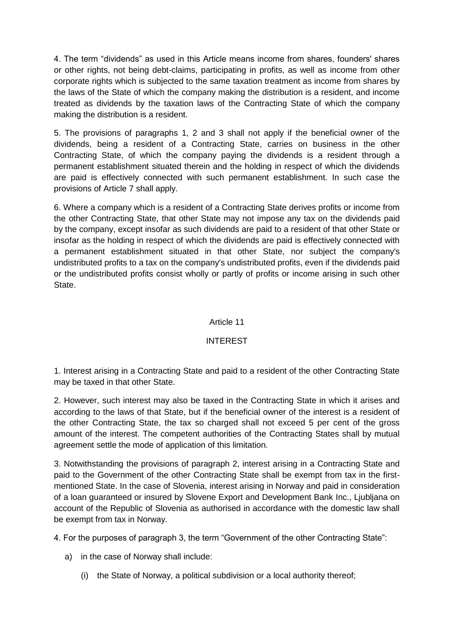4. The term "dividends" as used in this Article means income from shares, founders' shares or other rights, not being debt-claims, participating in profits, as well as income from other corporate rights which is subjected to the same taxation treatment as income from shares by the laws of the State of which the company making the distribution is a resident, and income treated as dividends by the taxation laws of the Contracting State of which the company making the distribution is a resident.

5. The provisions of paragraphs 1, 2 and 3 shall not apply if the beneficial owner of the dividends, being a resident of a Contracting State, carries on business in the other Contracting State, of which the company paying the dividends is a resident through a permanent establishment situated therein and the holding in respect of which the dividends are paid is effectively connected with such permanent establishment. In such case the provisions of Article 7 shall apply.

6. Where a company which is a resident of a Contracting State derives profits or income from the other Contracting State, that other State may not impose any tax on the dividends paid by the company, except insofar as such dividends are paid to a resident of that other State or insofar as the holding in respect of which the dividends are paid is effectively connected with a permanent establishment situated in that other State, nor subject the company's undistributed profits to a tax on the company's undistributed profits, even if the dividends paid or the undistributed profits consist wholly or partly of profits or income arising in such other State.

### Article 11

# INTEREST

1. Interest arising in a Contracting State and paid to a resident of the other Contracting State may be taxed in that other State.

2. However, such interest may also be taxed in the Contracting State in which it arises and according to the laws of that State, but if the beneficial owner of the interest is a resident of the other Contracting State, the tax so charged shall not exceed 5 per cent of the gross amount of the interest. The competent authorities of the Contracting States shall by mutual agreement settle the mode of application of this limitation.

3. Notwithstanding the provisions of paragraph 2, interest arising in a Contracting State and paid to the Government of the other Contracting State shall be exempt from tax in the firstmentioned State. In the case of Slovenia, interest arising in Norway and paid in consideration of a loan guaranteed or insured by Slovene Export and Development Bank Inc., Ljubljana on account of the Republic of Slovenia as authorised in accordance with the domestic law shall be exempt from tax in Norway.

4. For the purposes of paragraph 3, the term "Government of the other Contracting State":

- a) in the case of Norway shall include:
	- (i) the State of Norway, a political subdivision or a local authority thereof;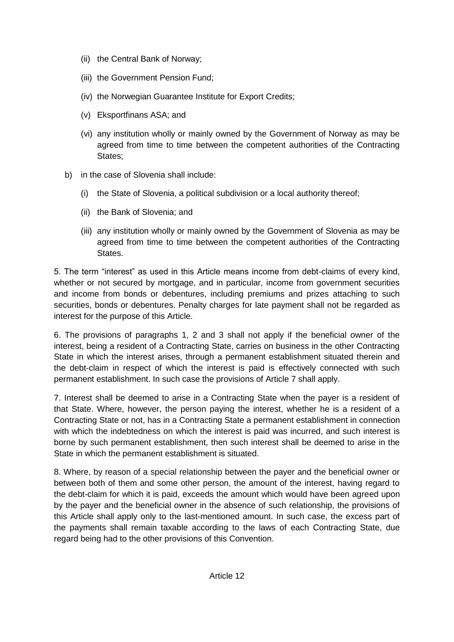- (ii) the Central Bank of Norway;
- (iii) the Government Pension Fund;
- (iv) the Norwegian Guarantee Institute for Export Credits;
- (v) Eksportfinans ASA; and
- (vi) any institution wholly or mainly owned by the Government of Norway as may be agreed from time to time between the competent authorities of the Contracting States;
- b) in the case of Slovenia shall include:
	- (i) the State of Slovenia, a political subdivision or a local authority thereof;
	- (ii) the Bank of Slovenia; and
	- (iii) any institution wholly or mainly owned by the Government of Slovenia as may be agreed from time to time between the competent authorities of the Contracting States.

5. The term "interest" as used in this Article means income from debt-claims of every kind, whether or not secured by mortgage, and in particular, income from government securities and income from bonds or debentures, including premiums and prizes attaching to such securities, bonds or debentures. Penalty charges for late payment shall not be regarded as interest for the purpose of this Article.

6. The provisions of paragraphs 1, 2 and 3 shall not apply if the beneficial owner of the interest, being a resident of a Contracting State, carries on business in the other Contracting State in which the interest arises, through a permanent establishment situated therein and the debt-claim in respect of which the interest is paid is effectively connected with such permanent establishment. In such case the provisions of Article 7 shall apply.

7. Interest shall be deemed to arise in a Contracting State when the payer is a resident of that State. Where, however, the person paying the interest, whether he is a resident of a Contracting State or not, has in a Contracting State a permanent establishment in connection with which the indebtedness on which the interest is paid was incurred, and such interest is borne by such permanent establishment, then such interest shall be deemed to arise in the State in which the permanent establishment is situated.

8. Where, by reason of a special relationship between the payer and the beneficial owner or between both of them and some other person, the amount of the interest, having regard to the debt-claim for which it is paid, exceeds the amount which would have been agreed upon by the payer and the beneficial owner in the absence of such relationship, the provisions of this Article shall apply only to the last-mentioned amount. In such case, the excess part of the payments shall remain taxable according to the laws of each Contracting State, due regard being had to the other provisions of this Convention.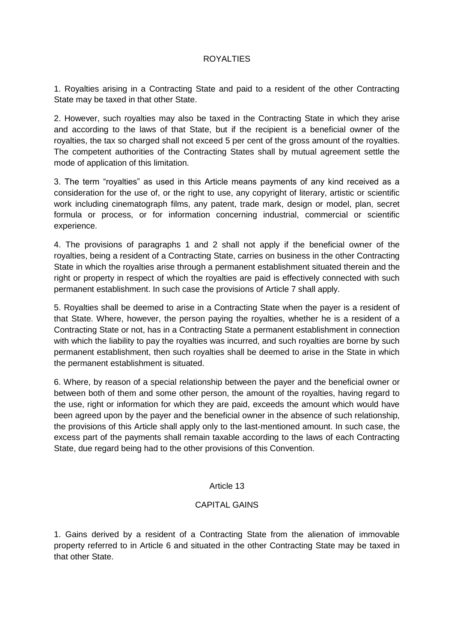### ROYALTIES

1. Royalties arising in a Contracting State and paid to a resident of the other Contracting State may be taxed in that other State.

2. However, such royalties may also be taxed in the Contracting State in which they arise and according to the laws of that State, but if the recipient is a beneficial owner of the royalties, the tax so charged shall not exceed 5 per cent of the gross amount of the royalties. The competent authorities of the Contracting States shall by mutual agreement settle the mode of application of this limitation.

3. The term "royalties" as used in this Article means payments of any kind received as a consideration for the use of, or the right to use, any copyright of literary, artistic or scientific work including cinematograph films, any patent, trade mark, design or model, plan, secret formula or process, or for information concerning industrial, commercial or scientific experience.

4. The provisions of paragraphs 1 and 2 shall not apply if the beneficial owner of the royalties, being a resident of a Contracting State, carries on business in the other Contracting State in which the royalties arise through a permanent establishment situated therein and the right or property in respect of which the royalties are paid is effectively connected with such permanent establishment. In such case the provisions of Article 7 shall apply.

5. Royalties shall be deemed to arise in a Contracting State when the payer is a resident of that State. Where, however, the person paying the royalties, whether he is a resident of a Contracting State or not, has in a Contracting State a permanent establishment in connection with which the liability to pay the royalties was incurred, and such royalties are borne by such permanent establishment, then such royalties shall be deemed to arise in the State in which the permanent establishment is situated.

6. Where, by reason of a special relationship between the payer and the beneficial owner or between both of them and some other person, the amount of the royalties, having regard to the use, right or information for which they are paid, exceeds the amount which would have been agreed upon by the payer and the beneficial owner in the absence of such relationship, the provisions of this Article shall apply only to the last-mentioned amount. In such case, the excess part of the payments shall remain taxable according to the laws of each Contracting State, due regard being had to the other provisions of this Convention.

### Article 13

## CAPITAL GAINS

1. Gains derived by a resident of a Contracting State from the alienation of immovable property referred to in Article 6 and situated in the other Contracting State may be taxed in that other State.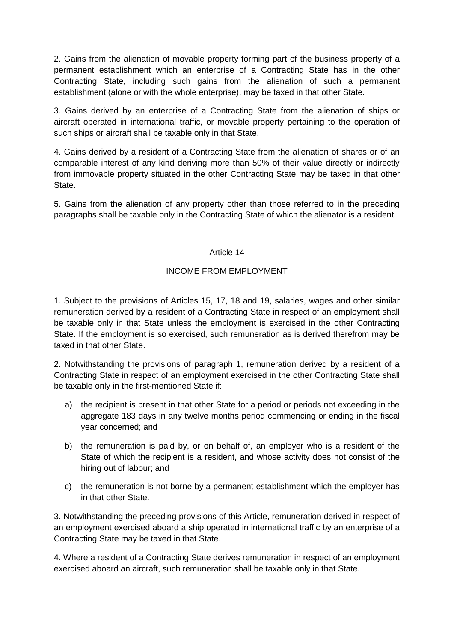2. Gains from the alienation of movable property forming part of the business property of a permanent establishment which an enterprise of a Contracting State has in the other Contracting State, including such gains from the alienation of such a permanent establishment (alone or with the whole enterprise), may be taxed in that other State.

3. Gains derived by an enterprise of a Contracting State from the alienation of ships or aircraft operated in international traffic, or movable property pertaining to the operation of such ships or aircraft shall be taxable only in that State.

4. Gains derived by a resident of a Contracting State from the alienation of shares or of an comparable interest of any kind deriving more than 50% of their value directly or indirectly from immovable property situated in the other Contracting State may be taxed in that other State.

5. Gains from the alienation of any property other than those referred to in the preceding paragraphs shall be taxable only in the Contracting State of which the alienator is a resident.

## Article 14

# INCOME FROM EMPLOYMENT

1. Subject to the provisions of Articles 15, 17, 18 and 19, salaries, wages and other similar remuneration derived by a resident of a Contracting State in respect of an employment shall be taxable only in that State unless the employment is exercised in the other Contracting State. If the employment is so exercised, such remuneration as is derived therefrom may be taxed in that other State.

2. Notwithstanding the provisions of paragraph 1, remuneration derived by a resident of a Contracting State in respect of an employment exercised in the other Contracting State shall be taxable only in the first-mentioned State if:

- a) the recipient is present in that other State for a period or periods not exceeding in the aggregate 183 days in any twelve months period commencing or ending in the fiscal year concerned; and
- b) the remuneration is paid by, or on behalf of, an employer who is a resident of the State of which the recipient is a resident, and whose activity does not consist of the hiring out of labour; and
- c) the remuneration is not borne by a permanent establishment which the employer has in that other State.

3. Notwithstanding the preceding provisions of this Article, remuneration derived in respect of an employment exercised aboard a ship operated in international traffic by an enterprise of a Contracting State may be taxed in that State.

4. Where a resident of a Contracting State derives remuneration in respect of an employment exercised aboard an aircraft, such remuneration shall be taxable only in that State.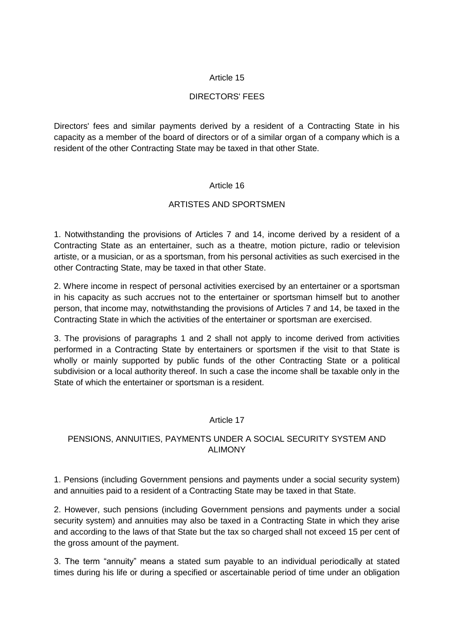### Article 15

## DIRECTORS' FEES

Directors' fees and similar payments derived by a resident of a Contracting State in his capacity as a member of the board of directors or of a similar organ of a company which is a resident of the other Contracting State may be taxed in that other State.

### Article 16

## ARTISTES AND SPORTSMEN

1. Notwithstanding the provisions of Articles 7 and 14, income derived by a resident of a Contracting State as an entertainer, such as a theatre, motion picture, radio or television artiste, or a musician, or as a sportsman, from his personal activities as such exercised in the other Contracting State, may be taxed in that other State.

2. Where income in respect of personal activities exercised by an entertainer or a sportsman in his capacity as such accrues not to the entertainer or sportsman himself but to another person, that income may, notwithstanding the provisions of Articles 7 and 14, be taxed in the Contracting State in which the activities of the entertainer or sportsman are exercised.

3. The provisions of paragraphs 1 and 2 shall not apply to income derived from activities performed in a Contracting State by entertainers or sportsmen if the visit to that State is wholly or mainly supported by public funds of the other Contracting State or a political subdivision or a local authority thereof. In such a case the income shall be taxable only in the State of which the entertainer or sportsman is a resident.

### Article 17

# PENSIONS, ANNUITIES, PAYMENTS UNDER A SOCIAL SECURITY SYSTEM AND **ALIMONY**

1. Pensions (including Government pensions and payments under a social security system) and annuities paid to a resident of a Contracting State may be taxed in that State.

2. However, such pensions (including Government pensions and payments under a social security system) and annuities may also be taxed in a Contracting State in which they arise and according to the laws of that State but the tax so charged shall not exceed 15 per cent of the gross amount of the payment.

3. The term "annuity" means a stated sum payable to an individual periodically at stated times during his life or during a specified or ascertainable period of time under an obligation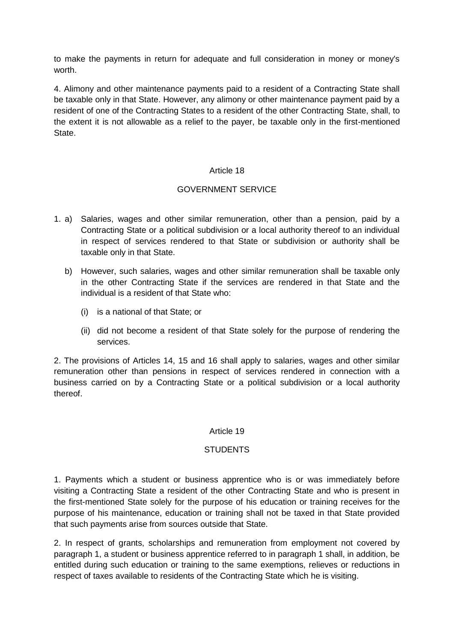to make the payments in return for adequate and full consideration in money or money's worth.

4. Alimony and other maintenance payments paid to a resident of a Contracting State shall be taxable only in that State. However, any alimony or other maintenance payment paid by a resident of one of the Contracting States to a resident of the other Contracting State, shall, to the extent it is not allowable as a relief to the payer, be taxable only in the first-mentioned State.

### Article 18

### GOVERNMENT SERVICE

- 1. a) Salaries, wages and other similar remuneration, other than a pension, paid by a Contracting State or a political subdivision or a local authority thereof to an individual in respect of services rendered to that State or subdivision or authority shall be taxable only in that State.
	- b) However, such salaries, wages and other similar remuneration shall be taxable only in the other Contracting State if the services are rendered in that State and the individual is a resident of that State who:
		- (i) is a national of that State; or
		- (ii) did not become a resident of that State solely for the purpose of rendering the services.

2. The provisions of Articles 14, 15 and 16 shall apply to salaries, wages and other similar remuneration other than pensions in respect of services rendered in connection with a business carried on by a Contracting State or a political subdivision or a local authority thereof.

### Article 19

### **STUDENTS**

1. Payments which a student or business apprentice who is or was immediately before visiting a Contracting State a resident of the other Contracting State and who is present in the first-mentioned State solely for the purpose of his education or training receives for the purpose of his maintenance, education or training shall not be taxed in that State provided that such payments arise from sources outside that State.

2. In respect of grants, scholarships and remuneration from employment not covered by paragraph 1, a student or business apprentice referred to in paragraph 1 shall, in addition, be entitled during such education or training to the same exemptions, relieves or reductions in respect of taxes available to residents of the Contracting State which he is visiting.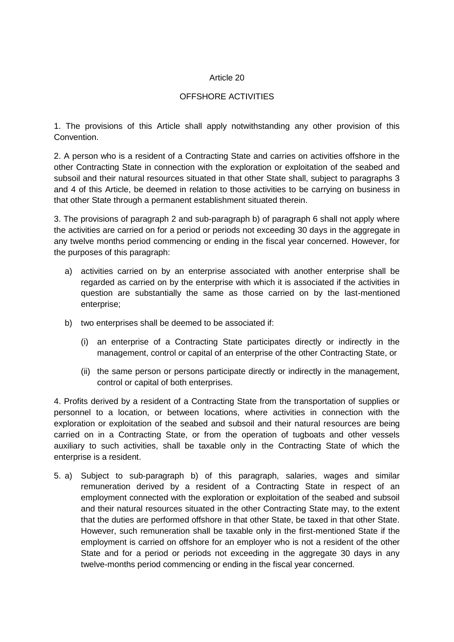### Article 20

## OFFSHORE ACTIVITIES

1. The provisions of this Article shall apply notwithstanding any other provision of this Convention.

2. A person who is a resident of a Contracting State and carries on activities offshore in the other Contracting State in connection with the exploration or exploitation of the seabed and subsoil and their natural resources situated in that other State shall, subject to paragraphs 3 and 4 of this Article, be deemed in relation to those activities to be carrying on business in that other State through a permanent establishment situated therein.

3. The provisions of paragraph 2 and sub-paragraph b) of paragraph 6 shall not apply where the activities are carried on for a period or periods not exceeding 30 days in the aggregate in any twelve months period commencing or ending in the fiscal year concerned. However, for the purposes of this paragraph:

- a) activities carried on by an enterprise associated with another enterprise shall be regarded as carried on by the enterprise with which it is associated if the activities in question are substantially the same as those carried on by the last-mentioned enterprise;
- b) two enterprises shall be deemed to be associated if:
	- (i) an enterprise of a Contracting State participates directly or indirectly in the management, control or capital of an enterprise of the other Contracting State, or
	- (ii) the same person or persons participate directly or indirectly in the management, control or capital of both enterprises.

4. Profits derived by a resident of a Contracting State from the transportation of supplies or personnel to a location, or between locations, where activities in connection with the exploration or exploitation of the seabed and subsoil and their natural resources are being carried on in a Contracting State, or from the operation of tugboats and other vessels auxiliary to such activities, shall be taxable only in the Contracting State of which the enterprise is a resident.

5. a) Subject to sub-paragraph b) of this paragraph, salaries, wages and similar remuneration derived by a resident of a Contracting State in respect of an employment connected with the exploration or exploitation of the seabed and subsoil and their natural resources situated in the other Contracting State may, to the extent that the duties are performed offshore in that other State, be taxed in that other State. However, such remuneration shall be taxable only in the first-mentioned State if the employment is carried on offshore for an employer who is not a resident of the other State and for a period or periods not exceeding in the aggregate 30 days in any twelve-months period commencing or ending in the fiscal year concerned.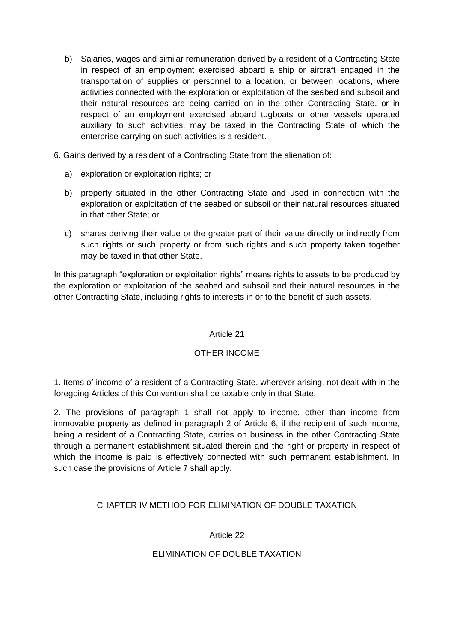- b) Salaries, wages and similar remuneration derived by a resident of a Contracting State in respect of an employment exercised aboard a ship or aircraft engaged in the transportation of supplies or personnel to a location, or between locations, where activities connected with the exploration or exploitation of the seabed and subsoil and their natural resources are being carried on in the other Contracting State, or in respect of an employment exercised aboard tugboats or other vessels operated auxiliary to such activities, may be taxed in the Contracting State of which the enterprise carrying on such activities is a resident.
- 6. Gains derived by a resident of a Contracting State from the alienation of:
	- a) exploration or exploitation rights; or
	- b) property situated in the other Contracting State and used in connection with the exploration or exploitation of the seabed or subsoil or their natural resources situated in that other State; or
	- c) shares deriving their value or the greater part of their value directly or indirectly from such rights or such property or from such rights and such property taken together may be taxed in that other State.

In this paragraph "exploration or exploitation rights" means rights to assets to be produced by the exploration or exploitation of the seabed and subsoil and their natural resources in the other Contracting State, including rights to interests in or to the benefit of such assets.

### Article 21

### OTHER INCOME

1. Items of income of a resident of a Contracting State, wherever arising, not dealt with in the foregoing Articles of this Convention shall be taxable only in that State.

2. The provisions of paragraph 1 shall not apply to income, other than income from immovable property as defined in paragraph 2 of Article 6, if the recipient of such income, being a resident of a Contracting State, carries on business in the other Contracting State through a permanent establishment situated therein and the right or property in respect of which the income is paid is effectively connected with such permanent establishment. In such case the provisions of Article 7 shall apply.

# CHAPTER IV METHOD FOR ELIMINATION OF DOUBLE TAXATION

### Article 22

### ELIMINATION OF DOUBLE TAXATION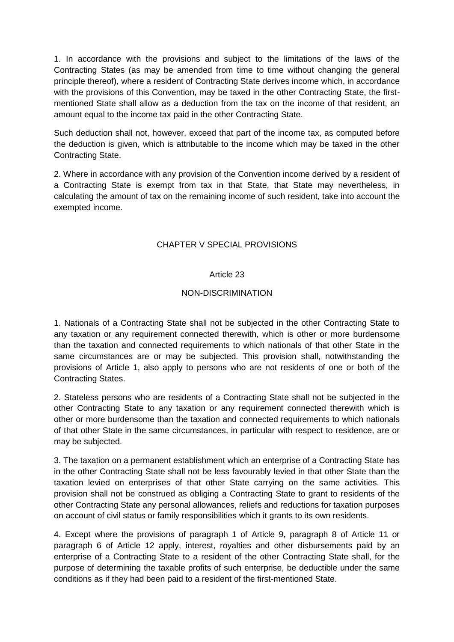1. In accordance with the provisions and subject to the limitations of the laws of the Contracting States (as may be amended from time to time without changing the general principle thereof), where a resident of Contracting State derives income which, in accordance with the provisions of this Convention, may be taxed in the other Contracting State, the firstmentioned State shall allow as a deduction from the tax on the income of that resident, an amount equal to the income tax paid in the other Contracting State.

Such deduction shall not, however, exceed that part of the income tax, as computed before the deduction is given, which is attributable to the income which may be taxed in the other Contracting State.

2. Where in accordance with any provision of the Convention income derived by a resident of a Contracting State is exempt from tax in that State, that State may nevertheless, in calculating the amount of tax on the remaining income of such resident, take into account the exempted income.

## CHAPTER V SPECIAL PROVISIONS

### Article 23

### NON-DISCRIMINATION

1. Nationals of a Contracting State shall not be subjected in the other Contracting State to any taxation or any requirement connected therewith, which is other or more burdensome than the taxation and connected requirements to which nationals of that other State in the same circumstances are or may be subjected. This provision shall, notwithstanding the provisions of Article 1, also apply to persons who are not residents of one or both of the Contracting States.

2. Stateless persons who are residents of a Contracting State shall not be subjected in the other Contracting State to any taxation or any requirement connected therewith which is other or more burdensome than the taxation and connected requirements to which nationals of that other State in the same circumstances, in particular with respect to residence, are or may be subjected.

3. The taxation on a permanent establishment which an enterprise of a Contracting State has in the other Contracting State shall not be less favourably levied in that other State than the taxation levied on enterprises of that other State carrying on the same activities. This provision shall not be construed as obliging a Contracting State to grant to residents of the other Contracting State any personal allowances, reliefs and reductions for taxation purposes on account of civil status or family responsibilities which it grants to its own residents.

4. Except where the provisions of paragraph 1 of Article 9, paragraph 8 of Article 11 or paragraph 6 of Article 12 apply, interest, royalties and other disbursements paid by an enterprise of a Contracting State to a resident of the other Contracting State shall, for the purpose of determining the taxable profits of such enterprise, be deductible under the same conditions as if they had been paid to a resident of the first-mentioned State.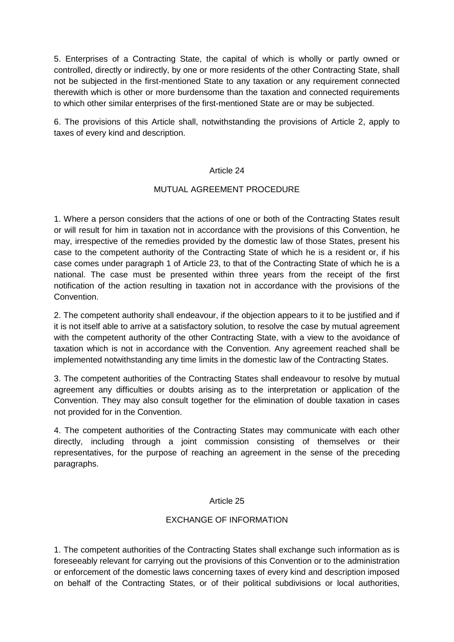5. Enterprises of a Contracting State, the capital of which is wholly or partly owned or controlled, directly or indirectly, by one or more residents of the other Contracting State, shall not be subjected in the first-mentioned State to any taxation or any requirement connected therewith which is other or more burdensome than the taxation and connected requirements to which other similar enterprises of the first-mentioned State are or may be subjected.

6. The provisions of this Article shall, notwithstanding the provisions of Article 2, apply to taxes of every kind and description.

#### Article 24

### MUTUAL AGREEMENT PROCEDURE

1. Where a person considers that the actions of one or both of the Contracting States result or will result for him in taxation not in accordance with the provisions of this Convention, he may, irrespective of the remedies provided by the domestic law of those States, present his case to the competent authority of the Contracting State of which he is a resident or, if his case comes under paragraph 1 of Article 23, to that of the Contracting State of which he is a national. The case must be presented within three years from the receipt of the first notification of the action resulting in taxation not in accordance with the provisions of the Convention.

2. The competent authority shall endeavour, if the objection appears to it to be justified and if it is not itself able to arrive at a satisfactory solution, to resolve the case by mutual agreement with the competent authority of the other Contracting State, with a view to the avoidance of taxation which is not in accordance with the Convention. Any agreement reached shall be implemented notwithstanding any time limits in the domestic law of the Contracting States.

3. The competent authorities of the Contracting States shall endeavour to resolve by mutual agreement any difficulties or doubts arising as to the interpretation or application of the Convention. They may also consult together for the elimination of double taxation in cases not provided for in the Convention.

4. The competent authorities of the Contracting States may communicate with each other directly, including through a joint commission consisting of themselves or their representatives, for the purpose of reaching an agreement in the sense of the preceding paragraphs.

#### Article 25

### EXCHANGE OF INFORMATION

1. The competent authorities of the Contracting States shall exchange such information as is foreseeably relevant for carrying out the provisions of this Convention or to the administration or enforcement of the domestic laws concerning taxes of every kind and description imposed on behalf of the Contracting States, or of their political subdivisions or local authorities,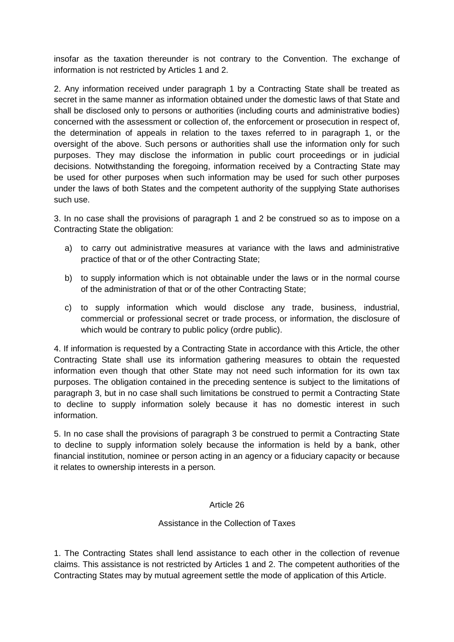insofar as the taxation thereunder is not contrary to the Convention. The exchange of information is not restricted by Articles 1 and 2.

2. Any information received under paragraph 1 by a Contracting State shall be treated as secret in the same manner as information obtained under the domestic laws of that State and shall be disclosed only to persons or authorities (including courts and administrative bodies) concerned with the assessment or collection of, the enforcement or prosecution in respect of, the determination of appeals in relation to the taxes referred to in paragraph 1, or the oversight of the above. Such persons or authorities shall use the information only for such purposes. They may disclose the information in public court proceedings or in judicial decisions. Notwithstanding the foregoing, information received by a Contracting State may be used for other purposes when such information may be used for such other purposes under the laws of both States and the competent authority of the supplying State authorises such use.

3. In no case shall the provisions of paragraph 1 and 2 be construed so as to impose on a Contracting State the obligation:

- a) to carry out administrative measures at variance with the laws and administrative practice of that or of the other Contracting State;
- b) to supply information which is not obtainable under the laws or in the normal course of the administration of that or of the other Contracting State;
- c) to supply information which would disclose any trade, business, industrial, commercial or professional secret or trade process, or information, the disclosure of which would be contrary to public policy (ordre public).

4. If information is requested by a Contracting State in accordance with this Article, the other Contracting State shall use its information gathering measures to obtain the requested information even though that other State may not need such information for its own tax purposes. The obligation contained in the preceding sentence is subject to the limitations of paragraph 3, but in no case shall such limitations be construed to permit a Contracting State to decline to supply information solely because it has no domestic interest in such information.

5. In no case shall the provisions of paragraph 3 be construed to permit a Contracting State to decline to supply information solely because the information is held by a bank, other financial institution, nominee or person acting in an agency or a fiduciary capacity or because it relates to ownership interests in a person.

## Article 26

# Assistance in the Collection of Taxes

1. The Contracting States shall lend assistance to each other in the collection of revenue claims. This assistance is not restricted by Articles 1 and 2. The competent authorities of the Contracting States may by mutual agreement settle the mode of application of this Article.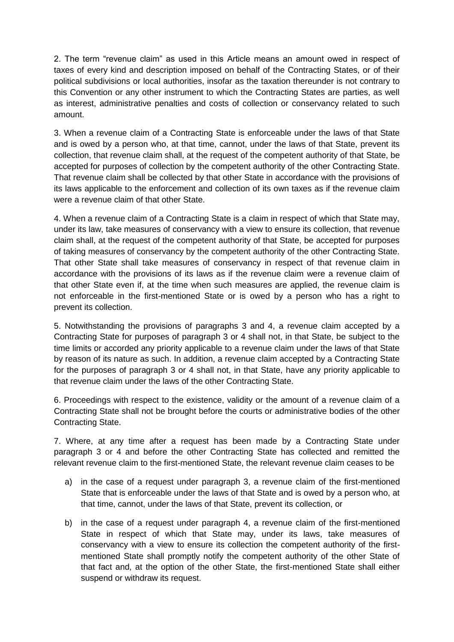2. The term "revenue claim" as used in this Article means an amount owed in respect of taxes of every kind and description imposed on behalf of the Contracting States, or of their political subdivisions or local authorities, insofar as the taxation thereunder is not contrary to this Convention or any other instrument to which the Contracting States are parties, as well as interest, administrative penalties and costs of collection or conservancy related to such amount.

3. When a revenue claim of a Contracting State is enforceable under the laws of that State and is owed by a person who, at that time, cannot, under the laws of that State, prevent its collection, that revenue claim shall, at the request of the competent authority of that State, be accepted for purposes of collection by the competent authority of the other Contracting State. That revenue claim shall be collected by that other State in accordance with the provisions of its laws applicable to the enforcement and collection of its own taxes as if the revenue claim were a revenue claim of that other State.

4. When a revenue claim of a Contracting State is a claim in respect of which that State may, under its law, take measures of conservancy with a view to ensure its collection, that revenue claim shall, at the request of the competent authority of that State, be accepted for purposes of taking measures of conservancy by the competent authority of the other Contracting State. That other State shall take measures of conservancy in respect of that revenue claim in accordance with the provisions of its laws as if the revenue claim were a revenue claim of that other State even if, at the time when such measures are applied, the revenue claim is not enforceable in the first-mentioned State or is owed by a person who has a right to prevent its collection.

5. Notwithstanding the provisions of paragraphs 3 and 4, a revenue claim accepted by a Contracting State for purposes of paragraph 3 or 4 shall not, in that State, be subject to the time limits or accorded any priority applicable to a revenue claim under the laws of that State by reason of its nature as such. In addition, a revenue claim accepted by a Contracting State for the purposes of paragraph 3 or 4 shall not, in that State, have any priority applicable to that revenue claim under the laws of the other Contracting State.

6. Proceedings with respect to the existence, validity or the amount of a revenue claim of a Contracting State shall not be brought before the courts or administrative bodies of the other Contracting State.

7. Where, at any time after a request has been made by a Contracting State under paragraph 3 or 4 and before the other Contracting State has collected and remitted the relevant revenue claim to the first-mentioned State, the relevant revenue claim ceases to be

- a) in the case of a request under paragraph 3, a revenue claim of the first-mentioned State that is enforceable under the laws of that State and is owed by a person who, at that time, cannot, under the laws of that State, prevent its collection, or
- b) in the case of a request under paragraph 4, a revenue claim of the first-mentioned State in respect of which that State may, under its laws, take measures of conservancy with a view to ensure its collection the competent authority of the firstmentioned State shall promptly notify the competent authority of the other State of that fact and, at the option of the other State, the first-mentioned State shall either suspend or withdraw its request.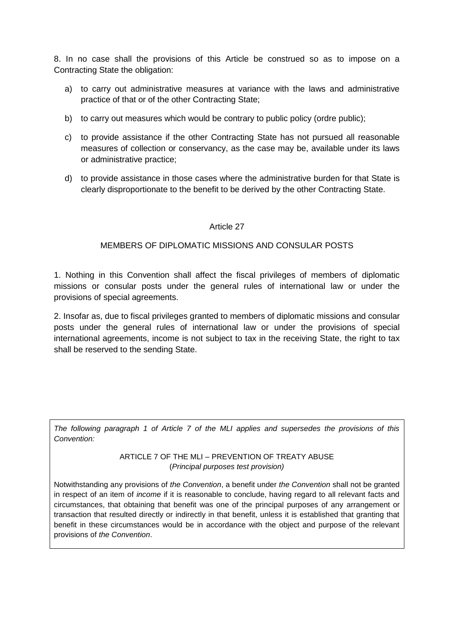8. In no case shall the provisions of this Article be construed so as to impose on a Contracting State the obligation:

- a) to carry out administrative measures at variance with the laws and administrative practice of that or of the other Contracting State;
- b) to carry out measures which would be contrary to public policy (ordre public);
- c) to provide assistance if the other Contracting State has not pursued all reasonable measures of collection or conservancy, as the case may be, available under its laws or administrative practice;
- d) to provide assistance in those cases where the administrative burden for that State is clearly disproportionate to the benefit to be derived by the other Contracting State.

### Article 27

## MEMBERS OF DIPLOMATIC MISSIONS AND CONSULAR POSTS

1. Nothing in this Convention shall affect the fiscal privileges of members of diplomatic missions or consular posts under the general rules of international law or under the provisions of special agreements.

2. Insofar as, due to fiscal privileges granted to members of diplomatic missions and consular posts under the general rules of international law or under the provisions of special international agreements, income is not subject to tax in the receiving State, the right to tax shall be reserved to the sending State.

*The following paragraph 1 of Article 7 of the MLI applies and supersedes the provisions of this Convention:*

> ARTICLE 7 OF THE MLL – PREVENTION OF TREATY ABUSE (*Principal purposes test provision)*

Notwithstanding any provisions of *the Convention*, a benefit under *the Convention* shall not be granted in respect of an item of *income* if it is reasonable to conclude, having regard to all relevant facts and circumstances, that obtaining that benefit was one of the principal purposes of any arrangement or transaction that resulted directly or indirectly in that benefit, unless it is established that granting that benefit in these circumstances would be in accordance with the object and purpose of the relevant provisions of *the Convention*.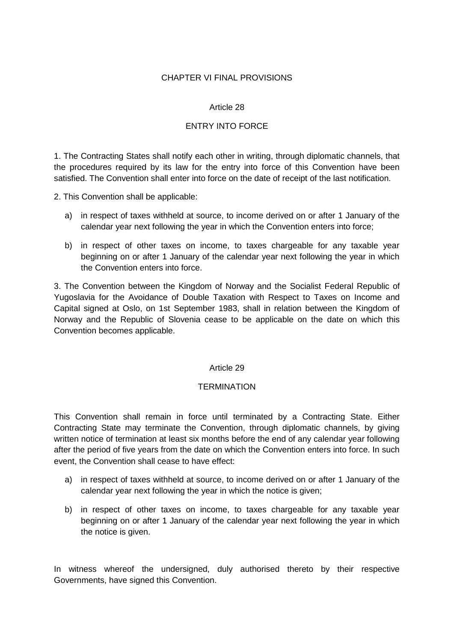### CHAPTER VI FINAL PROVISIONS

## Article 28

## ENTRY INTO FORCE

1. The Contracting States shall notify each other in writing, through diplomatic channels, that the procedures required by its law for the entry into force of this Convention have been satisfied. The Convention shall enter into force on the date of receipt of the last notification.

2. This Convention shall be applicable:

- a) in respect of taxes withheld at source, to income derived on or after 1 January of the calendar year next following the year in which the Convention enters into force;
- b) in respect of other taxes on income, to taxes chargeable for any taxable year beginning on or after 1 January of the calendar year next following the year in which the Convention enters into force.

3. The Convention between the Kingdom of Norway and the Socialist Federal Republic of Yugoslavia for the Avoidance of Double Taxation with Respect to Taxes on Income and Capital signed at Oslo, on 1st September 1983, shall in relation between the Kingdom of Norway and the Republic of Slovenia cease to be applicable on the date on which this Convention becomes applicable.

### Article 29

# **TERMINATION**

This Convention shall remain in force until terminated by a Contracting State. Either Contracting State may terminate the Convention, through diplomatic channels, by giving written notice of termination at least six months before the end of any calendar year following after the period of five years from the date on which the Convention enters into force. In such event, the Convention shall cease to have effect:

- a) in respect of taxes withheld at source, to income derived on or after 1 January of the calendar year next following the year in which the notice is given;
- b) in respect of other taxes on income, to taxes chargeable for any taxable year beginning on or after 1 January of the calendar year next following the year in which the notice is given.

In witness whereof the undersigned, duly authorised thereto by their respective Governments, have signed this Convention.